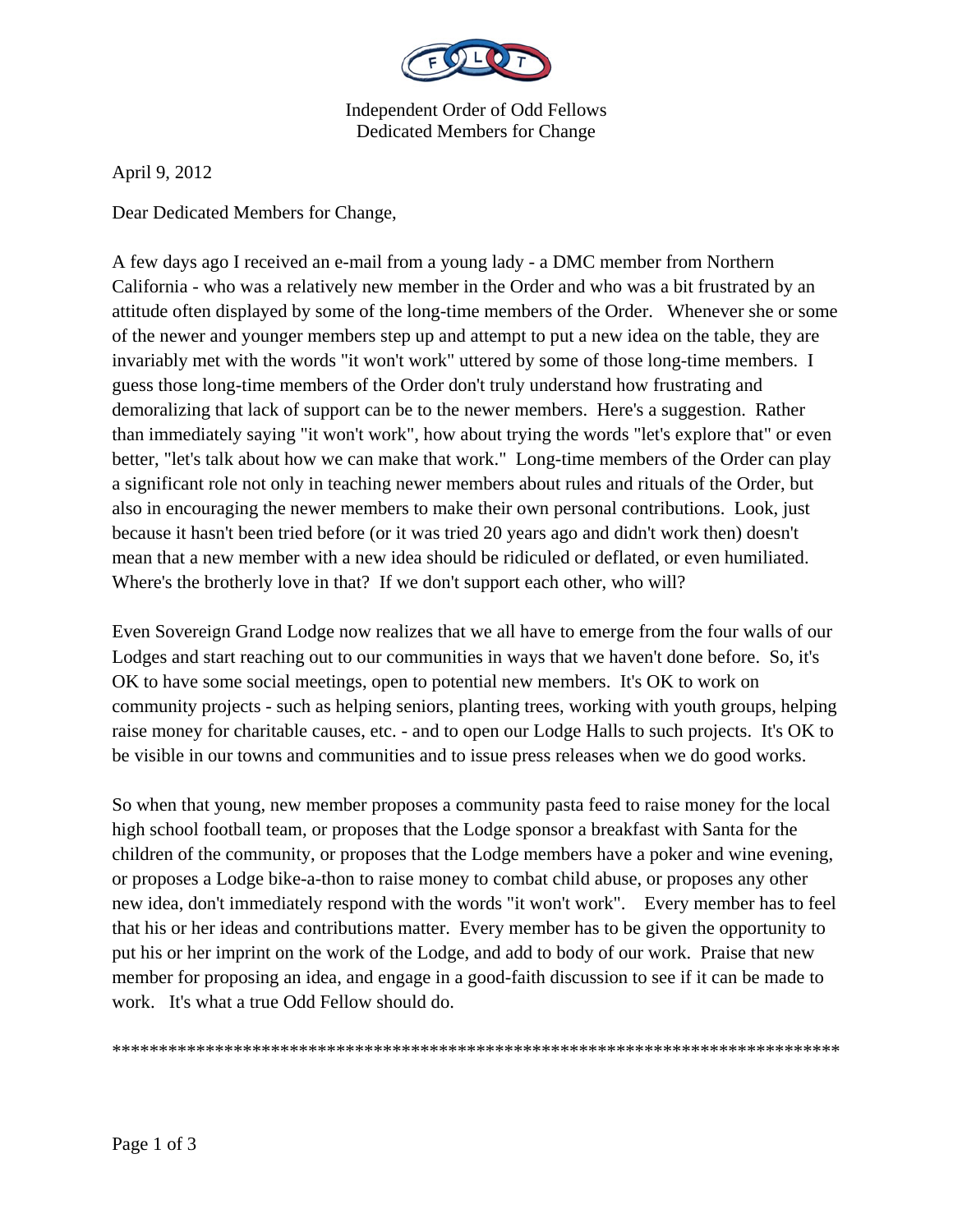

Independent Order of Odd Fellows Dedicated Members for Change

April 9, 2012

Dear Dedicated Members for Change,

A few days ago I received an e-mail from a young lady - a DMC member from Northern California - who was a relatively new member in the Order and who was a bit frustrated by an attitude often displayed by some of the long-time members of the Order. Whenever she or some of the newer and younger members step up and attempt to put a new idea on the table, they are invariably met with the words "it won't work" uttered by some of those long-time members. I guess those long-time members of the Order don't truly understand how frustrating and demoralizing that lack of support can be to the newer members. Here's a suggestion. Rather than immediately saying "it won't work", how about trying the words "let's explore that" or even better, "let's talk about how we can make that work." Long-time members of the Order can play a significant role not only in teaching newer members about rules and rituals of the Order, but also in encouraging the newer members to make their own personal contributions. Look, just because it hasn't been tried before (or it was tried 20 years ago and didn't work then) doesn't mean that a new member with a new idea should be ridiculed or deflated, or even humiliated. Where's the brotherly love in that? If we don't support each other, who will?

Even Sovereign Grand Lodge now realizes that we all have to emerge from the four walls of our Lodges and start reaching out to our communities in ways that we haven't done before. So, it's OK to have some social meetings, open to potential new members. It's OK to work on community projects - such as helping seniors, planting trees, working with youth groups, helping raise money for charitable causes, etc. - and to open our Lodge Halls to such projects. It's OK to be visible in our towns and communities and to issue press releases when we do good works.

So when that young, new member proposes a community pasta feed to raise money for the local high school football team, or proposes that the Lodge sponsor a breakfast with Santa for the children of the community, or proposes that the Lodge members have a poker and wine evening, or proposes a Lodge bike-a-thon to raise money to combat child abuse, or proposes any other new idea, don't immediately respond with the words "it won't work". Every member has to feel that his or her ideas and contributions matter. Every member has to be given the opportunity to put his or her imprint on the work of the Lodge, and add to body of our work. Praise that new member for proposing an idea, and engage in a good-faith discussion to see if it can be made to work. It's what a true Odd Fellow should do.

\*\*\*\*\*\*\*\*\*\*\*\*\*\*\*\*\*\*\*\*\*\*\*\*\*\*\*\*\*\*\*\*\*\*\*\*\*\*\*\*\*\*\*\*\*\*\*\*\*\*\*\*\*\*\*\*\*\*\*\*\*\*\*\*\*\*\*\*\*\*\*\*\*\*\*\*\*\*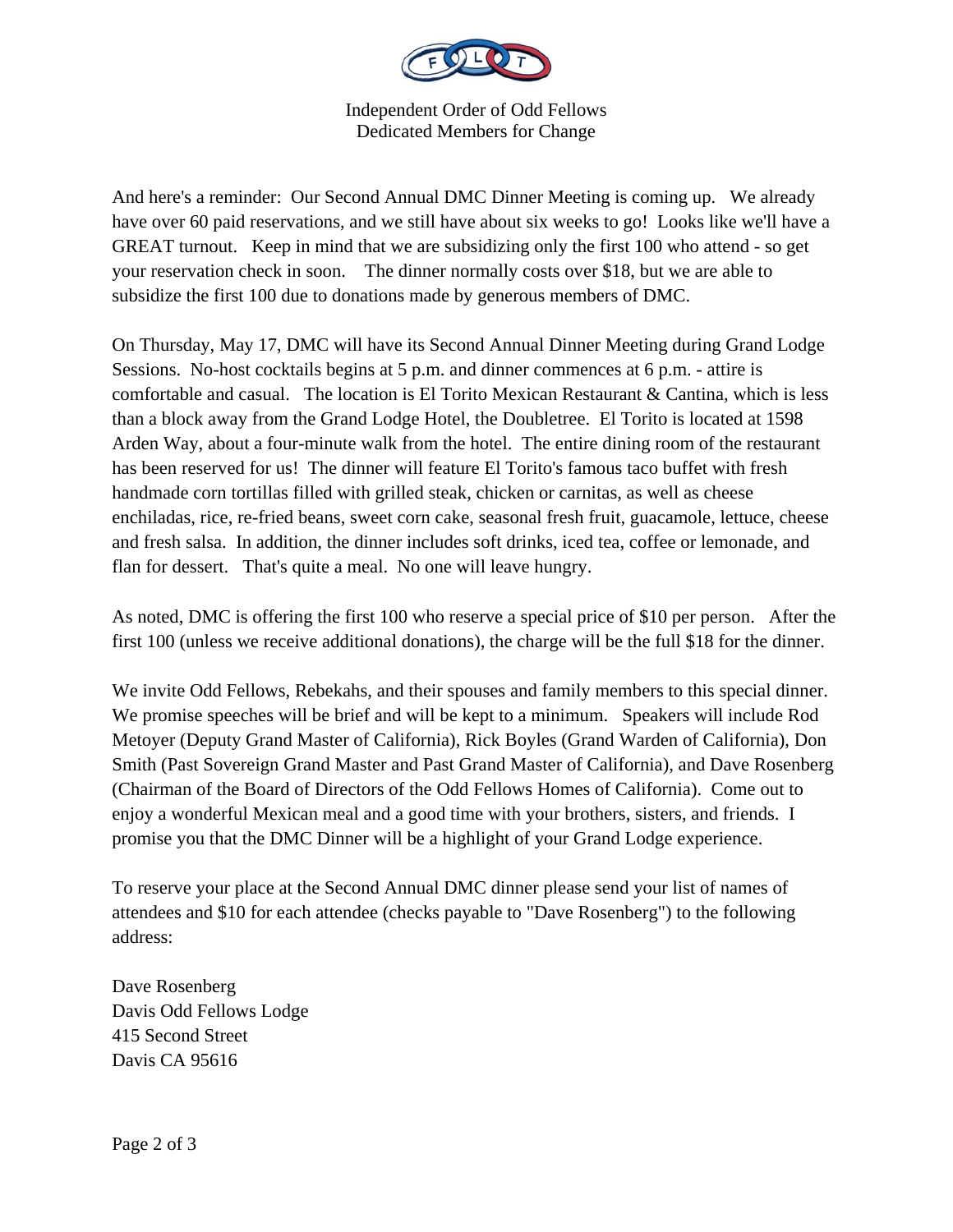

Independent Order of Odd Fellows Dedicated Members for Change

And here's a reminder: Our Second Annual DMC Dinner Meeting is coming up. We already have over 60 paid reservations, and we still have about six weeks to go! Looks like we'll have a GREAT turnout. Keep in mind that we are subsidizing only the first 100 who attend - so get your reservation check in soon. The dinner normally costs over \$18, but we are able to subsidize the first 100 due to donations made by generous members of DMC.

On Thursday, May 17, DMC will have its Second Annual Dinner Meeting during Grand Lodge Sessions. No-host cocktails begins at 5 p.m. and dinner commences at 6 p.m. - attire is comfortable and casual. The location is El Torito Mexican Restaurant & Cantina, which is less than a block away from the Grand Lodge Hotel, the Doubletree. El Torito is located at 1598 Arden Way, about a four-minute walk from the hotel. The entire dining room of the restaurant has been reserved for us! The dinner will feature El Torito's famous taco buffet with fresh handmade corn tortillas filled with grilled steak, chicken or carnitas, as well as cheese enchiladas, rice, re-fried beans, sweet corn cake, seasonal fresh fruit, guacamole, lettuce, cheese and fresh salsa. In addition, the dinner includes soft drinks, iced tea, coffee or lemonade, and flan for dessert. That's quite a meal. No one will leave hungry.

As noted, DMC is offering the first 100 who reserve a special price of \$10 per person. After the first 100 (unless we receive additional donations), the charge will be the full \$18 for the dinner.

We invite Odd Fellows, Rebekahs, and their spouses and family members to this special dinner. We promise speeches will be brief and will be kept to a minimum. Speakers will include Rod Metoyer (Deputy Grand Master of California), Rick Boyles (Grand Warden of California), Don Smith (Past Sovereign Grand Master and Past Grand Master of California), and Dave Rosenberg (Chairman of the Board of Directors of the Odd Fellows Homes of California). Come out to enjoy a wonderful Mexican meal and a good time with your brothers, sisters, and friends. I promise you that the DMC Dinner will be a highlight of your Grand Lodge experience.

To reserve your place at the Second Annual DMC dinner please send your list of names of attendees and \$10 for each attendee (checks payable to "Dave Rosenberg") to the following address:

Dave Rosenberg Davis Odd Fellows Lodge 415 Second Street Davis CA 95616